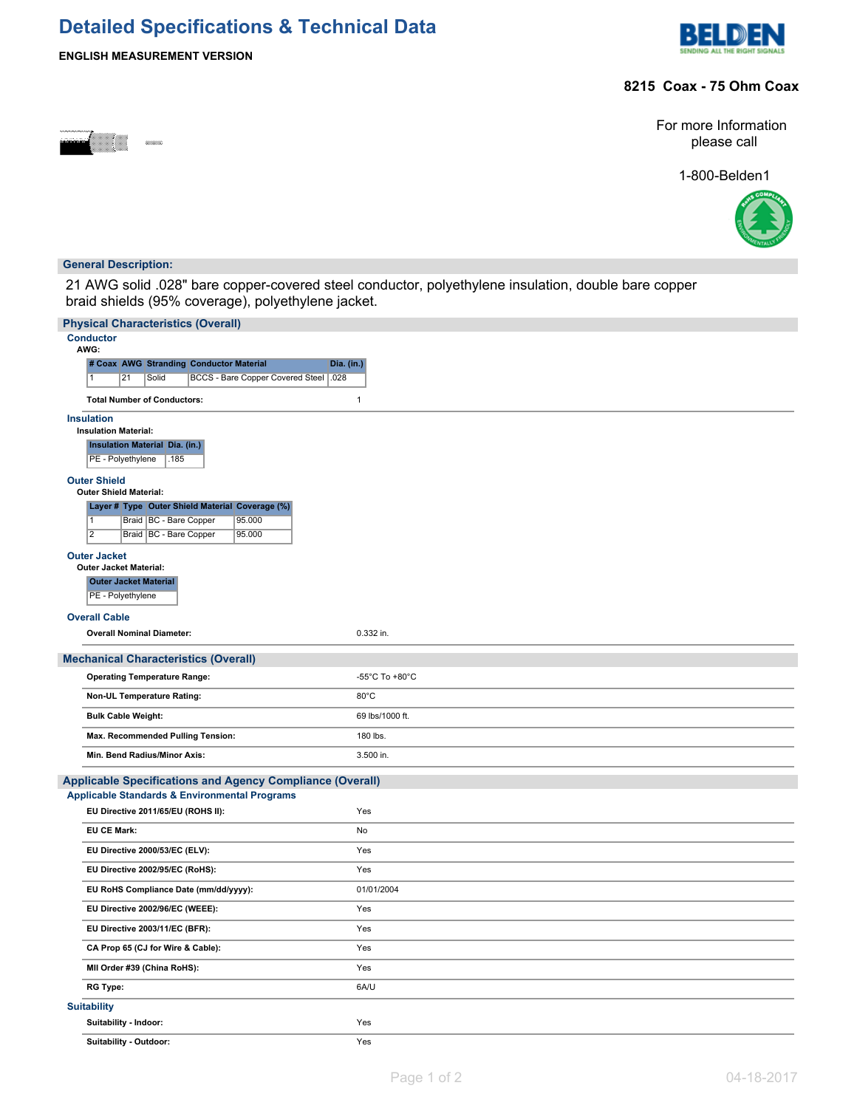# **Detailed Specifications & Technical Data**



### **8215 Coax - 75 Ohm Coax**

**ENGLISH MEASUREMENT VERSION**

For more Information please call

1-800-Belden1



### **General Description:**

21 AWG solid .028" bare copper-covered steel conductor, polyethylene insulation, double bare copper braid shields (95% coverage), polyethylene jacket.

| <b>Physical Characteristics (Overall)</b>                                        |                 |  |  |  |  |  |
|----------------------------------------------------------------------------------|-----------------|--|--|--|--|--|
| <b>Conductor</b><br>AWG:                                                         |                 |  |  |  |  |  |
| # Coax AWG Stranding Conductor Material                                          | Dia. (in.)      |  |  |  |  |  |
| Solid<br>BCCS - Bare Copper Covered Steel   .028<br>1<br>21                      |                 |  |  |  |  |  |
| <b>Total Number of Conductors:</b>                                               | $\mathbf{1}$    |  |  |  |  |  |
| <b>Insulation</b>                                                                |                 |  |  |  |  |  |
| <b>Insulation Material:</b><br><b>Insulation Material Dia. (in.)</b>             |                 |  |  |  |  |  |
| PE - Polyethylene<br>.185                                                        |                 |  |  |  |  |  |
| <b>Outer Shield</b>                                                              |                 |  |  |  |  |  |
| <b>Outer Shield Material:</b><br>Layer # Type Outer Shield Material Coverage (%) |                 |  |  |  |  |  |
| $\overline{1}$<br>Braid   BC - Bare Copper<br>95.000                             |                 |  |  |  |  |  |
| $\overline{2}$<br>Braid   BC - Bare Copper<br>95.000                             |                 |  |  |  |  |  |
| <b>Outer Jacket</b>                                                              |                 |  |  |  |  |  |
| <b>Outer Jacket Material:</b><br><b>Outer Jacket Material</b>                    |                 |  |  |  |  |  |
| PE - Polyethylene                                                                |                 |  |  |  |  |  |
| <b>Overall Cable</b>                                                             |                 |  |  |  |  |  |
| <b>Overall Nominal Diameter:</b>                                                 | 0.332 in.       |  |  |  |  |  |
| <b>Mechanical Characteristics (Overall)</b>                                      |                 |  |  |  |  |  |
| <b>Operating Temperature Range:</b>                                              | -55°C To +80°C  |  |  |  |  |  |
| Non-UL Temperature Rating:                                                       | $80^{\circ}$ C  |  |  |  |  |  |
| <b>Bulk Cable Weight:</b>                                                        | 69 lbs/1000 ft. |  |  |  |  |  |
| Max. Recommended Pulling Tension:                                                | 180 lbs.        |  |  |  |  |  |
| Min. Bend Radius/Minor Axis:                                                     | 3.500 in.       |  |  |  |  |  |
| <b>Applicable Specifications and Agency Compliance (Overall)</b>                 |                 |  |  |  |  |  |
| <b>Applicable Standards &amp; Environmental Programs</b>                         |                 |  |  |  |  |  |
| EU Directive 2011/65/EU (ROHS II):                                               | Yes             |  |  |  |  |  |
| <b>EU CE Mark:</b>                                                               | No              |  |  |  |  |  |
| EU Directive 2000/53/EC (ELV):                                                   | Yes             |  |  |  |  |  |
| EU Directive 2002/95/EC (RoHS):                                                  | Yes             |  |  |  |  |  |
| EU RoHS Compliance Date (mm/dd/yyyy):                                            | 01/01/2004      |  |  |  |  |  |
| EU Directive 2002/96/EC (WEEE):                                                  | Yes             |  |  |  |  |  |
| EU Directive 2003/11/EC (BFR):                                                   | Yes             |  |  |  |  |  |
| CA Prop 65 (CJ for Wire & Cable):                                                | Yes             |  |  |  |  |  |
| MII Order #39 (China RoHS):                                                      | Yes             |  |  |  |  |  |
| <b>RG Type:</b>                                                                  | 6A/U            |  |  |  |  |  |
| <b>Suitability</b>                                                               |                 |  |  |  |  |  |
| Suitability - Indoor:                                                            | Yes             |  |  |  |  |  |
| Suitability - Outdoor:                                                           | Yes             |  |  |  |  |  |